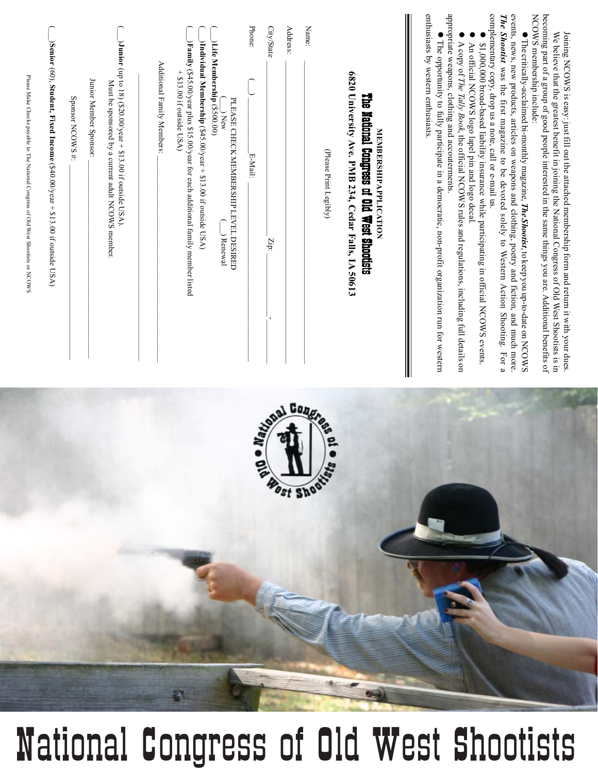## Mational Congress of Old West Shootists **The critically-acclaimed bi-monthly magazine, The Shootist**, to keep you up-to-date on NCOWS The critically-acclaimed bi-monthly magazine, *The Shootist*, to keep you up-to-date on NCOWS *The Shootist* events, news, new products, articles on weapons and clothing, poetry and fiction, and much more. was the first magazine to be devoted solely to Western Action Shooting*.* For a complementary copy, drop us a note, call or e-mail us.  $\bullet$  \$1,000,000 broad-based liability insurance while participating in official NCOWS events.  $\bullet$  An official NCOWS logo lapel pin and logo decal.  $\bullet$  A copy of *The Tally Book*, the official NCOWS rules and regulations, including full details on appropriate weapons, clothing and accouterments. • The opportunity to fully participate in a democratic, non-profit organization run for western The opportunity to fully participate in a democratic, non-profit organization run for western enthusiasts by western enthusiasts. **MEMBERSHIP APPLICATION** The National Congress of Old West Shootists **6820 University Ave. PMB 234, Cedar Falls, IA 50613** (Please Print Legibly) Name: Phone:(\_\_\_) \_\_\_\_\_\_\_\_\_\_\_\_\_\_E-Mail: \_\_\_\_\_\_\_\_\_\_\_\_\_\_\_\_\_\_\_\_\_\_\_\_\_\_\_\_\_\_\_\_\_\_\_\_\_\_\_\_\_\_\_\_\_ City/State $Z_{\rm B}$  , which is a set of  $Z_{\rm B}$  ,  $Z_{\rm B}$  ,  $Z_{\rm B}$  ,  $Z_{\rm B}$  ,  $Z_{\rm B}$  ,  $Z_{\rm B}$  ,  $Z_{\rm B}$  ,  $Z_{\rm B}$ Address: $\mathcal{L}_\text{max} = \frac{1}{2} \sum_{i=1}^n \mathcal{L}_\text{max} = \frac{1}{2} \sum_{i=1}^n \mathcal{L}_\text{max} = \frac{1}{2} \sum_{i=1}^n \mathcal{L}_\text{max} = \frac{1}{2} \sum_{i=1}^n \mathcal{L}_\text{max} = \frac{1}{2} \sum_{i=1}^n \mathcal{L}_\text{max} = \frac{1}{2} \sum_{i=1}^n \mathcal{L}_\text{max} = \frac{1}{2} \sum_{i=1}^n \mathcal{L}_\text{max} = \frac{1}{2} \sum_{i=$ (\_\_\_) New $\bigcup$  Renewal PLEASE CHECK MEMBERSHIP LEVEL DESIRED  $\bigcap$ **Life Membership** (\$500.00)  $\bigcap$ **Individual Membership** $\hat{9}$ 45.00/year  $+$  \$13.00 if outside USA)  $\bigcap$ **Family** (\$45.00/year plus \$15.00/year for each additional family member listed  $+ $13.00$  if outside USA)  $\Delta$ dditional Family Members:  $\Delta$  $\bigcap$  $\mathcal{L} = \{ \mathcal{L} = \{ \mathcal{L} = \mathcal{L} \}$ **Junior** (up to 18) (\$2 $\circ$ .00/year  $+$  \$13.00 if outside USA). Must be sponsored by a current adult NCOWS member.  $J_{\rm H}$  and  $N_{\rm H}$  and  $N_{\rm H}$  and  $N_{\rm H}$  and  $N_{\rm H}$  and  $N_{\rm H}$  and  $N_{\rm H}$  and  $N_{\rm H}$  $S$ ponsor NCOWS  $\ddot{x}$ :  $\vdots$  $\bigcap$ **Senior** (60), **Student, Fixed Income** (\$4 $0.00$ /year + \$13.00 if outside USA) Please Make Checks payable to The National Congress of Old West Shootists or NCOWS